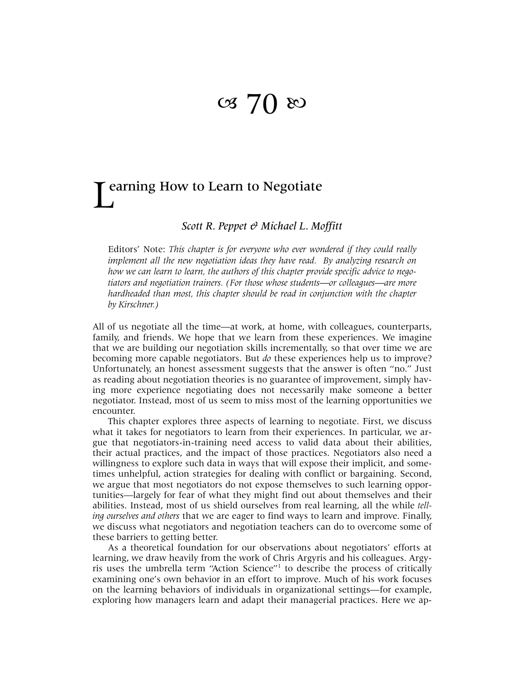## $\infty$  70  $\infty$

# L earning How to Learn to Negotiate

### *Scott R. Peppet & Michael L. Moffitt*

Editors' Note: *This chapter is for everyone who ever wondered if they could really implement all the new negotiation ideas they have read. By analyzing research on how we can learn to learn, the authors of this chapter provide specific advice to negotiators and negotiation trainers. (For those whose students—or colleagues—are more hardheaded than most, this chapter should be read in conjunction with the chapter by Kirschner.)* 

All of us negotiate all the time—at work, at home, with colleagues, counterparts, family, and friends. We hope that we learn from these experiences. We imagine that we are building our negotiation skills incrementally, so that over time we are becoming more capable negotiators. But *do* these experiences help us to improve? Unfortunately, an honest assessment suggests that the answer is often "no." Just as reading about negotiation theories is no guarantee of improvement, simply having more experience negotiating does not necessarily make someone a better negotiator. Instead, most of us seem to miss most of the learning opportunities we encounter.

This chapter explores three aspects of learning to negotiate. First, we discuss what it takes for negotiators to learn from their experiences. In particular, we argue that negotiators-in-training need access to valid data about their abilities, their actual practices, and the impact of those practices. Negotiators also need a willingness to explore such data in ways that will expose their implicit, and sometimes unhelpful, action strategies for dealing with conflict or bargaining. Second, we argue that most negotiators do not expose themselves to such learning opportunities—largely for fear of what they might find out about themselves and their abilities. Instead, most of us shield ourselves from real learning, all the while *telling ourselves and others* that we are eager to find ways to learn and improve. Finally, we discuss what negotiators and negotiation teachers can do to overcome some of these barriers to getting better.

As a theoretical foundation for our observations about negotiators' efforts at learning, we draw heavily from the work of Chris Argyris and his colleagues. Argyris uses the umbrella term "Action Science["1](#page-11-0) to describe the process of critically examining one's own behavior in an effort to improve. Much of his work focuses on the learning behaviors of individuals in organizational settings—for example, exploring how managers learn and adapt their managerial practices. Here we ap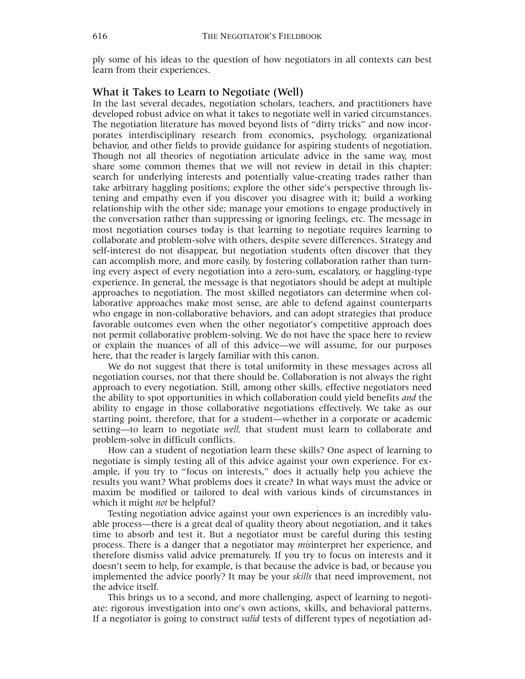ply some of his ideas to the question of how negotiators in all contexts can best learn from their experiences.

#### What it Takes to Learn to Negotiate (Well)

In the last several decades, negotiation scholars, teachers, and practitioners have developed robust advice on what it takes to negotiate well in varied circumstances. The negotiation literature has moved beyond lists of "dirty tricks" and now incorporates interdisciplinary research from economics, psychology, organizational behavior, and other fields to provide guidance for aspiring students of negotiation. Though not all theories of negotiation articulate advice in the same way, most share some common themes that we will not review in detail in this chapter: search for underlying interests and potentially value-creating trades rather than take arbitrary haggling positions; explore the other side's perspective through listening and empathy even if you discover you disagree with it; build a working relationship with the other side; manage your emotions to engage productively in the conversation rather than suppressing or ignoring feelings, etc. The message in most negotiation courses today is that learning to negotiate requires learning to collaborate and problem-solve with others, despite severe differences. Strategy and self-interest do not disappear, but negotiation students often discover that they can accomplish more, and more easily, by fostering collaboration rather than turning every aspect of every negotiation into a zero-sum, escalatory, or haggling-type experience. In general, the message is that negotiators should be adept at multiple approaches to negotiation. The most skilled negotiators can determine when collaborative approaches make most sense, are able to defend against counterparts who engage in non-collaborative behaviors, and can adopt strategies that produce favorable outcomes even when the other negotiator's competitive approach does not permit collaborative problem-solving. We do not have the space here to review or explain the nuances of all of this advice—we will assume, for our purposes here, that the reader is largely familiar with this canon.

We do not suggest that there is total uniformity in these messages across all negotiation courses, nor that there should be. Collaboration is not always the right approach to every negotiation. Still, among other skills, effective negotiators need the ability to spot opportunities in which collaboration could yield benefits *and* the ability to engage in those collaborative negotiations effectively. We take as our starting point, therefore, that for a student—whether in a corporate or academic setting—to learn to negotiate *well,* that student must learn to collaborate and problem-solve in difficult conflicts.

How can a student of negotiation learn these skills? One aspect of learning to negotiate is simply testing all of this advice against your own experience. For example, if you try to "focus on interests," does it actually help you achieve the results you want? What problems does it create? In what ways must the advice or maxim be modified or tailored to deal with various kinds of circumstances in which it might *not* be helpful?

Testing negotiation advice against your own experiences is an incredibly valuable process—there is a great deal of quality theory about negotiation, and it takes time to absorb and test it. But a negotiator must be careful during this testing process. There is a danger that a negotiator may *mis*interpret her experience, and therefore dismiss valid advice prematurely. If you try to focus on interests and it doesn't seem to help, for example, is that because the advice is bad, or because you implemented the advice poorly? It may be your *skills* that need improvement, not the advice itself.

This brings us to a second, and more challenging, aspect of learning to negotiate: rigorous investigation into one's own actions, skills, and behavioral patterns. If a negotiator is going to construct *valid* tests of different types of negotiation ad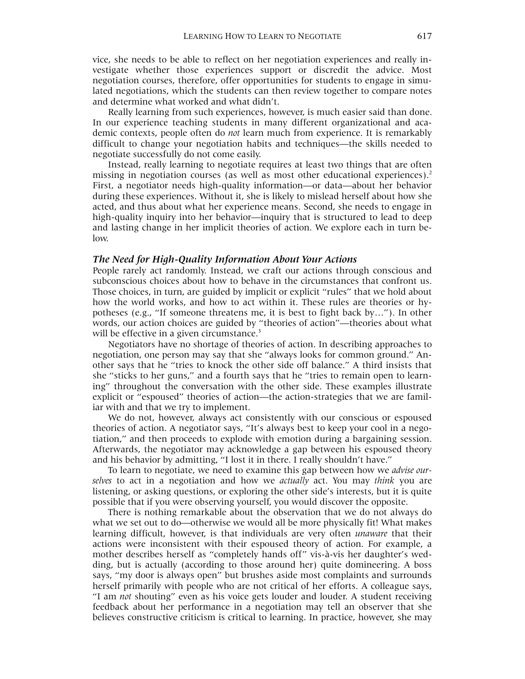vice, she needs to be able to reflect on her negotiation experiences and really investigate whether those experiences support or discredit the advice. Most negotiation courses, therefore, offer opportunities for students to engage in simulated negotiations, which the students can then review together to compare notes and determine what worked and what didn't.

Really learning from such experiences, however, is much easier said than done. In our experience teaching students in many different organizational and academic contexts, people often do *not* learn much from experience. It is remarkably difficult to change your negotiation habits and techniques—the skills needed to negotiate successfully do not come easily.

Instead, really learning to negotiate requires at least two things that are often missing in negotiation courses (as well as most other educational experiences).<sup>[2](#page-11-1)</sup> First, a negotiator needs high-quality information—or data—about her behavior during these experiences. Without it, she is likely to mislead herself about how she acted, and thus about what her experience means. Second, she needs to engage in high-quality inquiry into her behavior—inquiry that is structured to lead to deep and lasting change in her implicit theories of action. We explore each in turn below.

#### *The Need for High-Quality Information About Your Actions*

People rarely act randomly. Instead, we craft our actions through conscious and subconscious choices about how to behave in the circumstances that confront us. Those choices, in turn, are guided by implicit or explicit "rules" that we hold about how the world works, and how to act within it. These rules are theories or hypotheses (e.g., "If someone threatens me, it is best to fight back by…"). In other words, our action choices are guided by "theories of action"—theories about what will be effective in a given circumstance.<sup>[3](#page-11-2)</sup>

Negotiators have no shortage of theories of action. In describing approaches to negotiation, one person may say that she "always looks for common ground." Another says that he "tries to knock the other side off balance." A third insists that she "sticks to her guns," and a fourth says that he "tries to remain open to learning" throughout the conversation with the other side. These examples illustrate explicit or "espoused" theories of action—the action-strategies that we are familiar with and that we try to implement.

We do not, however, always act consistently with our conscious or espoused theories of action. A negotiator says, "It's always best to keep your cool in a negotiation," and then proceeds to explode with emotion during a bargaining session. Afterwards, the negotiator may acknowledge a gap between his espoused theory and his behavior by admitting, "I lost it in there. I really shouldn't have."

To learn to negotiate, we need to examine this gap between how we *advise ourselves* to act in a negotiation and how we *actually* act. You may *think* you are listening, or asking questions, or exploring the other side's interests, but it is quite possible that if you were observing yourself, you would discover the opposite.

There is nothing remarkable about the observation that we do not always do what we set out to do—otherwise we would all be more physically fit! What makes learning difficult, however, is that individuals are very often *unaware* that their actions were inconsistent with their espoused theory of action. For example, a mother describes herself as "completely hands off" vis-à-vis her daughter's wedding, but is actually (according to those around her) quite domineering. A boss says, "my door is always open" but brushes aside most complaints and surrounds herself primarily with people who are not critical of her efforts. A colleague says, "I am *not* shouting" even as his voice gets louder and louder. A student receiving feedback about her performance in a negotiation may tell an observer that she believes constructive criticism is critical to learning. In practice, however, she may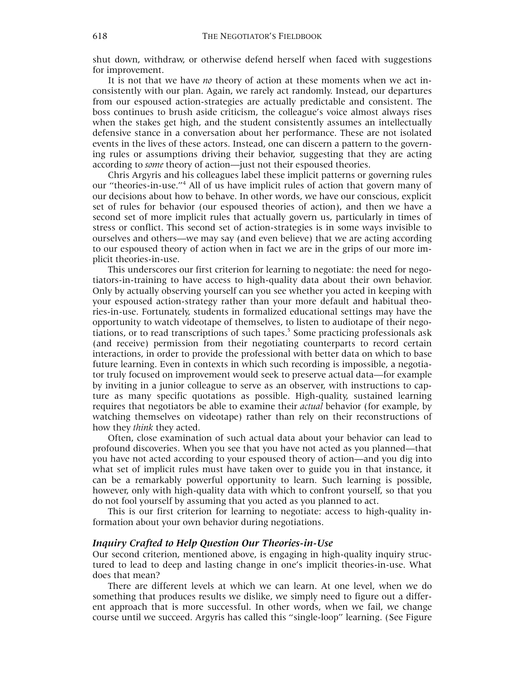shut down, withdraw, or otherwise defend herself when faced with suggestions for improvement.

It is not that we have *no* theory of action at these moments when we act inconsistently with our plan. Again, we rarely act randomly. Instead, our departures from our espoused action-strategies are actually predictable and consistent. The boss continues to brush aside criticism, the colleague's voice almost always rises when the stakes get high, and the student consistently assumes an intellectually defensive stance in a conversation about her performance. These are not isolated events in the lives of these actors. Instead, one can discern a pattern to the governing rules or assumptions driving their behavior, suggesting that they are acting according to *some* theory of action—just not their espoused theories.

Chris Argyris and his colleagues label these implicit patterns or governing rules our "theories-in-use."<sup>4</sup> All of us have implicit rules of action that govern many of our decisions about how to behave. In other words, we have our conscious, explicit set of rules for behavior (our espoused theories of action), and then we have a second set of more implicit rules that actually govern us, particularly in times of stress or conflict. This second set of action-strategies is in some ways invisible to ourselves and others—we may say (and even believe) that we are acting according to our espoused theory of action when in fact we are in the grips of our more implicit theories-in-use.

This underscores our first criterion for learning to negotiate: the need for negotiators-in-training to have access to high-quality data about their own behavior. Only by actually observing yourself can you see whether you acted in keeping with your espoused action-strategy rather than your more default and habitual theories-in-use. Fortunately, students in formalized educational settings may have the opportunity to watch videotape of themselves, to listen to audiotape of their negotiations, or to read transcriptions of such tapes.<sup>5</sup> Some practicing professionals ask (and receive) permission from their negotiating counterparts to record certain interactions, in order to provide the professional with better data on which to base future learning. Even in contexts in which such recording is impossible, a negotiator truly focused on improvement would seek to preserve actual data—for example by inviting in a junior colleague to serve as an observer, with instructions to capture as many specific quotations as possible. High-quality, sustained learning requires that negotiators be able to examine their *actual* behavior (for example, by watching themselves on videotape) rather than rely on their reconstructions of how they *think* they acted.

Often, close examination of such actual data about your behavior can lead to profound discoveries. When you see that you have not acted as you planned—that you have not acted according to your espoused theory of action—and you dig into what set of implicit rules must have taken over to guide you in that instance, it can be a remarkably powerful opportunity to learn. Such learning is possible, however, only with high-quality data with which to confront yourself, so that you do not fool yourself by assuming that you acted as you planned to act.

This is our first criterion for learning to negotiate: access to high-quality information about your own behavior during negotiations.

#### *Inquiry Crafted to Help Question Our Theories-in-Use*

Our second criterion, mentioned above, is engaging in high-quality inquiry structured to lead to deep and lasting change in one's implicit theories-in-use. What does that mean?

There are different levels at which we can learn. At one level, when we do something that produces results we dislike, we simply need to figure out a different approach that is more successful. In other words, when we fail, we change course until we succeed. Argyris has called this "single-loop" learning. (See Figure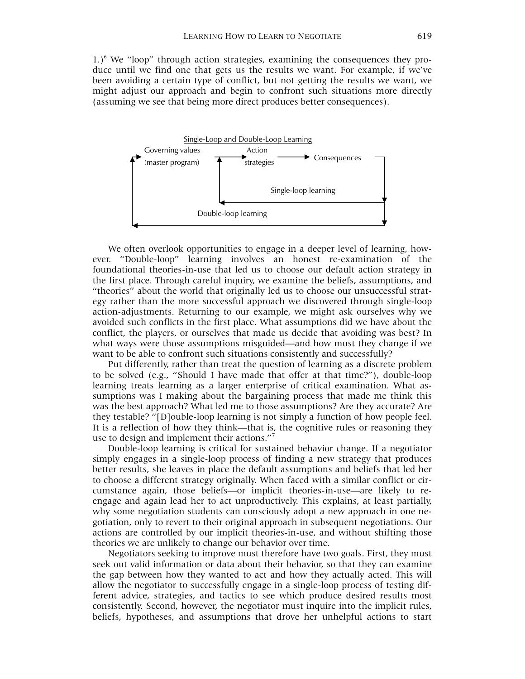1.)<sup>6</sup> We "loop" through action strategies, examining the consequences they produce until we find one that gets us the results we want. For example, if we've been avoiding a certain type of conflict, but not getting the results we want, we might adjust our approach and begin to confront such situations more directly (assuming we see that being more direct produces better consequences).



We often overlook opportunities to engage in a deeper level of learning, however. "Double-loop" learning involves an honest re-examination of the foundational theories-in-use that led us to choose our default action strategy in the first place. Through careful inquiry, we examine the beliefs, assumptions, and "theories" about the world that originally led us to choose our unsuccessful strategy rather than the more successful approach we discovered through single-loop action-adjustments. Returning to our example, we might ask ourselves why we avoided such conflicts in the first place. What assumptions did we have about the conflict, the players, or ourselves that made us decide that avoiding was best? In what ways were those assumptions misguided—and how must they change if we want to be able to confront such situations consistently and successfully?

Put differently, rather than treat the question of learning as a discrete problem to be solved (e.g., "Should I have made that offer at that time?"), double-loop learning treats learning as a larger enterprise of critical examination. What assumptions was I making about the bargaining process that made me think this was the best approach? What led me to those assumptions? Are they accurate? Are they testable? "[D]ouble-loop learning is not simply a function of how people feel. It is a reflection of how they think—that is, the cognitive rules or reasoning they use to design and implement their actions."<sup>7</sup>

Double-loop learning is critical for sustained behavior change. If a negotiator simply engages in a single-loop process of finding a new strategy that produces better results, she leaves in place the default assumptions and beliefs that led her to choose a different strategy originally. When faced with a similar conflict or circumstance again, those beliefs—or implicit theories-in-use—are likely to reengage and again lead her to act unproductively. This explains, at least partially, why some negotiation students can consciously adopt a new approach in one negotiation, only to revert to their original approach in subsequent negotiations. Our actions are controlled by our implicit theories-in-use, and without shifting those theories we are unlikely to change our behavior over time.

Negotiators seeking to improve must therefore have two goals. First, they must seek out valid information or data about their behavior, so that they can examine the gap between how they wanted to act and how they actually acted. This will allow the negotiator to successfully engage in a single-loop process of testing different advice, strategies, and tactics to see which produce desired results most consistently. Second, however, the negotiator must inquire into the implicit rules, beliefs, hypotheses, and assumptions that drove her unhelpful actions to start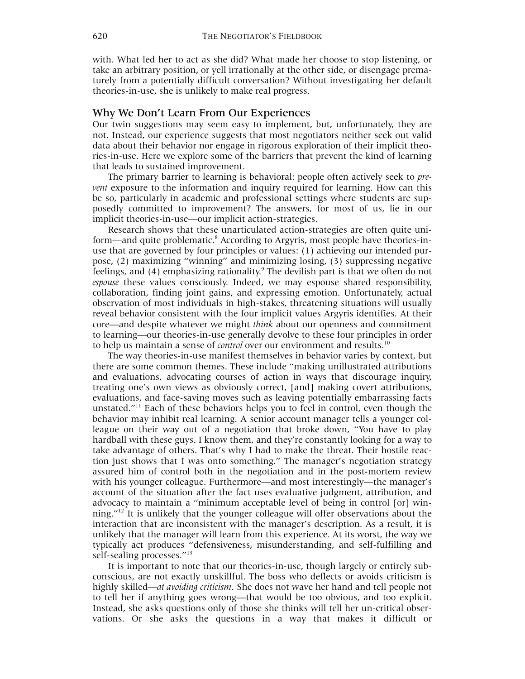with. What led her to act as she did? What made her choose to stop listening, or take an arbitrary position, or yell irrationally at the other side, or disengage prematurely from a potentially difficult conversation? Without investigating her default theories-in-use, she is unlikely to make real progress.

#### Why We Don't Learn From Our Experiences

Our twin suggestions may seem easy to implement, but, unfortunately, they are not. Instead, our experience suggests that most negotiators neither seek out valid data about their behavior nor engage in rigorous exploration of their implicit theories-in-use. Here we explore some of the barriers that prevent the kind of learning that leads to sustained improvement.

The primary barrier to learning is behavioral: people often actively seek to *prevent* exposure to the information and inquiry required for learning. How can this be so, particularly in academic and professional settings where students are supposedly committed to improvement? The answers, for most of us, lie in our implicit theories-in-use—our implicit action-strategies.

Research shows that these unarticulated action-strategies are often quite uniform—and quite problematic.<sup>8</sup> According to Argyris, most people have theories-inuse that are governed by four principles or values: (1) achieving our intended purpose, (2) maximizing "winning" and minimizing losing, (3) suppressing negative feelings, and (4) emphasizing rationality.<sup>[9](#page-11-8)</sup> The devilish part is that we often do not *espouse* these values consciously. Indeed, we may espouse shared responsibility, collaboration, finding joint gains, and expressing emotion. Unfortunately, actual observation of most individuals in high-stakes, threatening situations will usually reveal behavior consistent with the four implicit values Argyris identifies. At their core—and despite whatever we might *think* about our openness and commitment to learning—our theories-in-use generally devolve to these four principles in order to help us maintain a sense of *control* over our environment and results.<sup>10</sup>

The way theories-in-use manifest themselves in behavior varies by context, but there are some common themes. These include "making unillustrated attributions and evaluations, advocating courses of action in ways that discourage inquiry, treating one's own views as obviously correct, [and] making covert attributions, evaluations, and face-saving moves such as leaving potentially embarrassing facts unstated."<sup>11</sup> Each of these behaviors helps you to feel in control, even though the behavior may inhibit real learning. A senior account manager tells a younger colleague on their way out of a negotiation that broke down, "You have to play hardball with these guys. I know them, and they're constantly looking for a way to take advantage of others. That's why I had to make the threat. Their hostile reaction just shows that I was onto something." The manager's negotiation strategy assured him of control both in the negotiation and in the post-mortem review with his younger colleague. Furthermore—and most interestingly—the manager's account of the situation after the fact uses evaluative judgment, attribution, and advocacy to maintain a "minimum acceptable level of being in control [or] winning." $12$  It is unlikely that the younger colleague will offer observations about the interaction that are inconsistent with the manager's description. As a result, it is unlikely that the manager will learn from this experience. At its worst, the way we typically act produces "defensiveness, misunderstanding, and self-fulfilling and self-sealing processes."<sup>[13](#page-11-12)</sup>

It is important to note that our theories-in-use, though largely or entirely subconscious, are not exactly unskillful. The boss who deflects or avoids criticism is highly skilled—*at avoiding criticism*. She does not wave her hand and tell people not to tell her if anything goes wrong—that would be too obvious, and too explicit. Instead, she asks questions only of those she thinks will tell her un-critical observations. Or she asks the questions in a way that makes it difficult or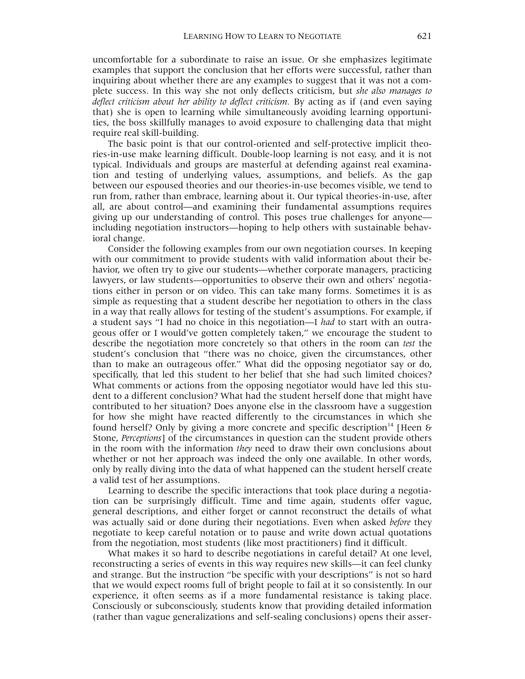uncomfortable for a subordinate to raise an issue. Or she emphasizes legitimate examples that support the conclusion that her efforts were successful, rather than inquiring about whether there are any examples to suggest that it was not a complete success. In this way she not only deflects criticism, but *she also manages to deflect criticism about her ability to deflect criticism.* By acting as if (and even saying that) she is open to learning while simultaneously avoiding learning opportunities, the boss skillfully manages to avoid exposure to challenging data that might require real skill-building.

The basic point is that our control-oriented and self-protective implicit theories-in-use make learning difficult. Double-loop learning is not easy, and it is not typical. Individuals and groups are masterful at defending against real examination and testing of underlying values, assumptions, and beliefs. As the gap between our espoused theories and our theories-in-use becomes visible, we tend to run from, rather than embrace, learning about it. Our typical theories-in-use, after all, are about control—and examining their fundamental assumptions requires giving up our understanding of control. This poses true challenges for anyone including negotiation instructors—hoping to help others with sustainable behavioral change.

Consider the following examples from our own negotiation courses. In keeping with our commitment to provide students with valid information about their behavior, we often try to give our students—whether corporate managers, practicing lawyers, or law students—opportunities to observe their own and others' negotiations either in person or on video. This can take many forms. Sometimes it is as simple as requesting that a student describe her negotiation to others in the class in a way that really allows for testing of the student's assumptions. For example, if a student says "I had no choice in this negotiation—I *had* to start with an outrageous offer or I would've gotten completely taken," we encourage the student to describe the negotiation more concretely so that others in the room can *test* the student's conclusion that "there was no choice, given the circumstances, other than to make an outrageous offer." What did the opposing negotiator say or do, specifically, that led this student to her belief that she had such limited choices? What comments or actions from the opposing negotiator would have led this student to a different conclusion? What had the student herself done that might have contributed to her situation? Does anyone else in the classroom have a suggestion for how she might have reacted differently to the circumstances in which she found herself? Only by giving a more concrete and specific description<sup>14</sup> [Heen & Stone, *Perceptions*] of the circumstances in question can the student provide others in the room with the information *they* need to draw their own conclusions about whether or not her approach was indeed the only one available. In other words, only by really diving into the data of what happened can the student herself create a valid test of her assumptions.

Learning to describe the specific interactions that took place during a negotiation can be surprisingly difficult. Time and time again, students offer vague, general descriptions, and either forget or cannot reconstruct the details of what was actually said or done during their negotiations. Even when asked *before* they negotiate to keep careful notation or to pause and write down actual quotations from the negotiation, most students (like most practitioners) find it difficult.

What makes it so hard to describe negotiations in careful detail? At one level, reconstructing a series of events in this way requires new skills—it can feel clunky and strange. But the instruction "be specific with your descriptions" is not so hard that we would expect rooms full of bright people to fail at it so consistently. In our experience, it often seems as if a more fundamental resistance is taking place. Consciously or subconsciously, students know that providing detailed information (rather than vague generalizations and self-sealing conclusions) opens their asser-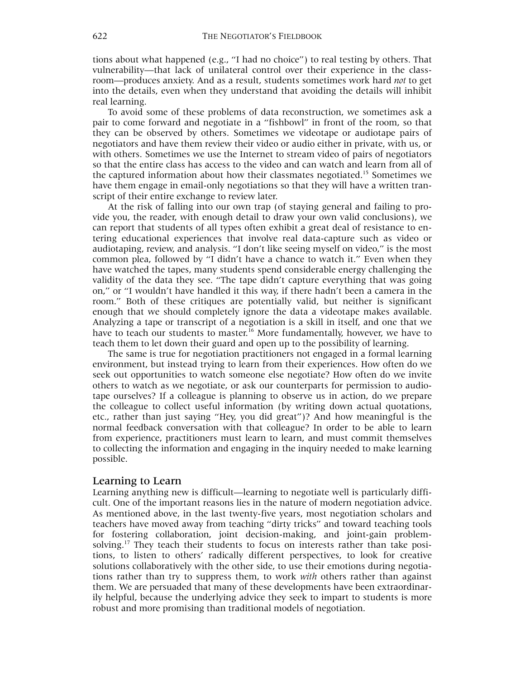tions about what happened (e.g., "I had no choice") to real testing by others. That vulnerability—that lack of unilateral control over their experience in the classroom—produces anxiety. And as a result, students sometimes work hard *not* to get into the details, even when they understand that avoiding the details will inhibit real learning.

To avoid some of these problems of data reconstruction, we sometimes ask a pair to come forward and negotiate in a "fishbowl" in front of the room, so that they can be observed by others. Sometimes we videotape or audiotape pairs of negotiators and have them review their video or audio either in private, with us, or with others. Sometimes we use the Internet to stream video of pairs of negotiators so that the entire class has access to the video and can watch and learn from all of the captured information about how their classmates negotiated.<sup>15</sup> Sometimes we have them engage in email-only negotiations so that they will have a written transcript of their entire exchange to review later.

At the risk of falling into our own trap (of staying general and failing to provide you, the reader, with enough detail to draw your own valid conclusions), we can report that students of all types often exhibit a great deal of resistance to entering educational experiences that involve real data-capture such as video or audiotaping, review, and analysis. "I don't like seeing myself on video," is the most common plea, followed by "I didn't have a chance to watch it." Even when they have watched the tapes, many students spend considerable energy challenging the validity of the data they see. "The tape didn't capture everything that was going on," or "I wouldn't have handled it this way, if there hadn't been a camera in the room." Both of these critiques are potentially valid, but neither is significant enough that we should completely ignore the data a videotape makes available. Analyzing a tape or transcript of a negotiation is a skill in itself, and one that we have to teach our students to master.<sup>16</sup> More fundamentally, however, we have to teach them to let down their guard and open up to the possibility of learning.

The same is true for negotiation practitioners not engaged in a formal learning environment, but instead trying to learn from their experiences. How often do we seek out opportunities to watch someone else negotiate? How often do we invite others to watch as we negotiate, or ask our counterparts for permission to audiotape ourselves? If a colleague is planning to observe us in action, do we prepare the colleague to collect useful information (by writing down actual quotations, etc., rather than just saying "Hey, you did great")? And how meaningful is the normal feedback conversation with that colleague? In order to be able to learn from experience, practitioners must learn to learn, and must commit themselves to collecting the information and engaging in the inquiry needed to make learning possible.

#### Learning to Learn

Learning anything new is difficult—learning to negotiate well is particularly difficult. One of the important reasons lies in the nature of modern negotiation advice. As mentioned above, in the last twenty-five years, most negotiation scholars and teachers have moved away from teaching "dirty tricks" and toward teaching tools for fostering collaboration, joint decision-making, and joint-gain problemsolving.<sup>17</sup> They teach their students to focus on interests rather than take positions, to listen to others' radically different perspectives, to look for creative solutions collaboratively with the other side, to use their emotions during negotiations rather than try to suppress them, to work *with* others rather than against them. We are persuaded that many of these developments have been extraordinarily helpful, because the underlying advice they seek to impart to students is more robust and more promising than traditional models of negotiation.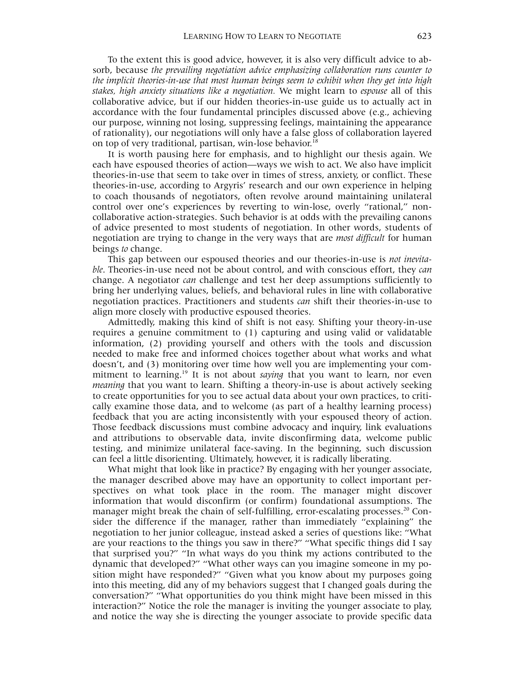To the extent this is good advice, however, it is also very difficult advice to absorb, because *the prevailing negotiation advice emphasizing collaboration runs counter to the implicit theories-in-use that most human beings seem to exhibit when they get into high stakes, high anxiety situations like a negotiation.* We might learn to *espouse* all of this collaborative advice, but if our hidden theories-in-use guide us to actually act in accordance with the four fundamental principles discussed above (e.g., achieving our purpose, winning not losing, suppressing feelings, maintaining the appearance of rationality), our negotiations will only have a false gloss of collaboration layered on top of very traditional, partisan, win-lose behavior.<sup>[18](#page-11-17)</sup>

It is worth pausing here for emphasis, and to highlight our thesis again. We each have espoused theories of action—ways we wish to act. We also have implicit theories-in-use that seem to take over in times of stress, anxiety, or conflict. These theories-in-use, according to Argyris' research and our own experience in helping to coach thousands of negotiators, often revolve around maintaining unilateral control over one's experiences by reverting to win-lose, overly "rational," noncollaborative action-strategies. Such behavior is at odds with the prevailing canons of advice presented to most students of negotiation. In other words, students of negotiation are trying to change in the very ways that are *most difficult* for human beings *to* change.

This gap between our espoused theories and our theories-in-use is *not inevitable*. Theories-in-use need not be about control, and with conscious effort, they *can* change. A negotiator *can* challenge and test her deep assumptions sufficiently to bring her underlying values, beliefs, and behavioral rules in line with collaborative negotiation practices. Practitioners and students *can* shift their theories-in-use to align more closely with productive espoused theories.

Admittedly, making this kind of shift is not easy. Shifting your theory-in-use requires a genuine commitment to (1) capturing and using valid or validatable information, (2) providing yourself and others with the tools and discussion needed to make free and informed choices together about what works and what doesn't, and (3) monitoring over time how well you are implementing your commitment to learning[.19](#page-11-18) It is not about *saying* that you want to learn, nor even *meaning* that you want to learn. Shifting a theory-in-use is about actively seeking to create opportunities for you to see actual data about your own practices, to critically examine those data, and to welcome (as part of a healthy learning process) feedback that you are acting inconsistently with your espoused theory of action. Those feedback discussions must combine advocacy and inquiry, link evaluations and attributions to observable data, invite disconfirming data, welcome public testing, and minimize unilateral face-saving. In the beginning, such discussion can feel a little disorienting. Ultimately, however, it is radically liberating.

What might that look like in practice? By engaging with her younger associate, the manager described above may have an opportunity to collect important perspectives on what took place in the room. The manager might discover information that would disconfirm (or confirm) foundational assumptions. The manager might break the chain of self-fulfilling, error-escalating processes.<sup>20</sup> Consider the difference if the manager, rather than immediately "explaining" the negotiation to her junior colleague, instead asked a series of questions like: "What are your reactions to the things you saw in there?" "What specific things did I say that surprised you?" "In what ways do you think my actions contributed to the dynamic that developed?" "What other ways can you imagine someone in my position might have responded?" "Given what you know about my purposes going into this meeting, did any of my behaviors suggest that I changed goals during the conversation?" "What opportunities do you think might have been missed in this interaction?" Notice the role the manager is inviting the younger associate to play, and notice the way she is directing the younger associate to provide specific data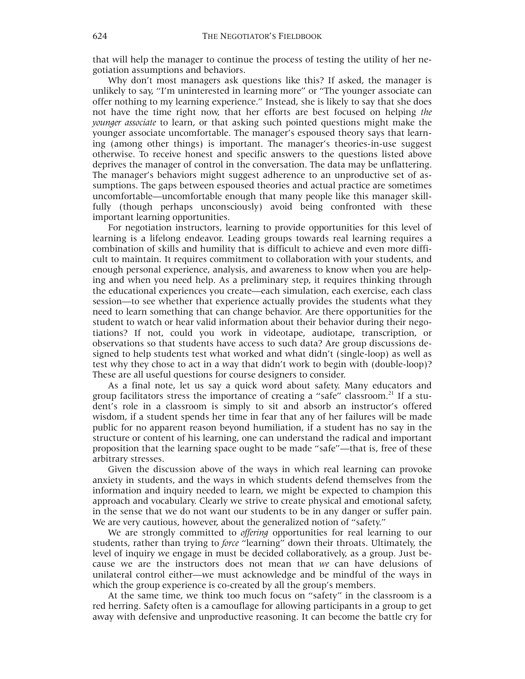that will help the manager to continue the process of testing the utility of her negotiation assumptions and behaviors.

Why don't most managers ask questions like this? If asked, the manager is unlikely to say, "I'm uninterested in learning more" or "The younger associate can offer nothing to my learning experience." Instead, she is likely to say that she does not have the time right now, that her efforts are best focused on helping *the younger associate* to learn, or that asking such pointed questions might make the younger associate uncomfortable. The manager's espoused theory says that learning (among other things) is important. The manager's theories-in-use suggest otherwise. To receive honest and specific answers to the questions listed above deprives the manager of control in the conversation. The data may be unflattering. The manager's behaviors might suggest adherence to an unproductive set of assumptions. The gaps between espoused theories and actual practice are sometimes uncomfortable—uncomfortable enough that many people like this manager skillfully (though perhaps unconsciously) avoid being confronted with these important learning opportunities.

For negotiation instructors, learning to provide opportunities for this level of learning is a lifelong endeavor. Leading groups towards real learning requires a combination of skills and humility that is difficult to achieve and even more difficult to maintain. It requires commitment to collaboration with your students, and enough personal experience, analysis, and awareness to know when you are helping and when you need help. As a preliminary step, it requires thinking through the educational experiences you create—each simulation, each exercise, each class session—to see whether that experience actually provides the students what they need to learn something that can change behavior. Are there opportunities for the student to watch or hear valid information about their behavior during their negotiations? If not, could you work in videotape, audiotape, transcription, or observations so that students have access to such data? Are group discussions designed to help students test what worked and what didn't (single-loop) as well as test why they chose to act in a way that didn't work to begin with (double-loop)? These are all useful questions for course designers to consider.

As a final note, let us say a quick word about safety. Many educators and group facilitators stress the importance of creating a "safe" classroom.<sup>21</sup> If a student's role in a classroom is simply to sit and absorb an instructor's offered wisdom, if a student spends her time in fear that any of her failures will be made public for no apparent reason beyond humiliation, if a student has no say in the structure or content of his learning, one can understand the radical and important proposition that the learning space ought to be made "safe"—that is, free of these arbitrary stresses.

Given the discussion above of the ways in which real learning can provoke anxiety in students, and the ways in which students defend themselves from the information and inquiry needed to learn, we might be expected to champion this approach and vocabulary. Clearly we strive to create physical and emotional safety, in the sense that we do not want our students to be in any danger or suffer pain. We are very cautious, however, about the generalized notion of "safety."

We are strongly committed to *offering* opportunities for real learning to our students, rather than trying to *force* "learning" down their throats. Ultimately, the level of inquiry we engage in must be decided collaboratively, as a group. Just because we are the instructors does not mean that *we* can have delusions of unilateral control either—we must acknowledge and be mindful of the ways in which the group experience is co-created by all the group's members.

At the same time, we think too much focus on "safety" in the classroom is a red herring. Safety often is a camouflage for allowing participants in a group to get away with defensive and unproductive reasoning. It can become the battle cry for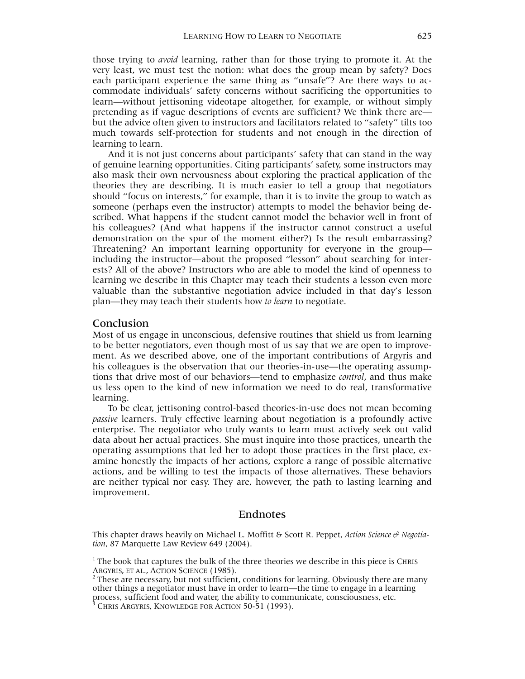those trying to *avoid* learning, rather than for those trying to promote it. At the very least, we must test the notion: what does the group mean by safety? Does each participant experience the same thing as "unsafe"? Are there ways to accommodate individuals' safety concerns without sacrificing the opportunities to learn—without jettisoning videotape altogether, for example, or without simply pretending as if vague descriptions of events are sufficient? We think there are but the advice often given to instructors and facilitators related to "safety" tilts too much towards self-protection for students and not enough in the direction of learning to learn.

And it is not just concerns about participants' safety that can stand in the way of genuine learning opportunities. Citing participants' safety, some instructors may also mask their own nervousness about exploring the practical application of the theories they are describing. It is much easier to tell a group that negotiators should "focus on interests," for example, than it is to invite the group to watch as someone (perhaps even the instructor) attempts to model the behavior being described. What happens if the student cannot model the behavior well in front of his colleagues? (And what happens if the instructor cannot construct a useful demonstration on the spur of the moment either?) Is the result embarrassing? Threatening? An important learning opportunity for everyone in the group including the instructor—about the proposed "lesson" about searching for interests? All of the above? Instructors who are able to model the kind of openness to learning we describe in this Chapter may teach their students a lesson even more valuable than the substantive negotiation advice included in that day's lesson plan—they may teach their students how *to learn* to negotiate.

#### Conclusion

Most of us engage in unconscious, defensive routines that shield us from learning to be better negotiators, even though most of us say that we are open to improvement. As we described above, one of the important contributions of Argyris and his colleagues is the observation that our theories-in-use—the operating assumptions that drive most of our behaviors—tend to emphasize *control*, and thus make us less open to the kind of new information we need to do real, transformative learning.

To be clear, jettisoning control-based theories-in-use does not mean becoming *passive* learners. Truly effective learning about negotiation is a profoundly active enterprise. The negotiator who truly wants to learn must actively seek out valid data about her actual practices. She must inquire into those practices, unearth the operating assumptions that led her to adopt those practices in the first place, examine honestly the impacts of her actions, explore a range of possible alternative actions, and be willing to test the impacts of those alternatives. These behaviors are neither typical nor easy. They are, however, the path to lasting learning and improvement.

#### Endnotes

This chapter draws heavily on Michael L. Moffitt & Scott R. Peppet, *Action Science & Negotiation*, 87 Marquette Law Review 649 (2004).

 $<sup>1</sup>$  The book that captures the bulk of the three theories we describe in this piece is CHRIS</sup> ARGYRIS, ET AL., ACTION SCIENCE (1985).

These are necessary, but not sufficient, conditions for learning. Obviously there are many other things a negotiator must have in order to learn—the time to engage in a learning process, sufficient food and water, the ability to communicate, consciousness, etc. 3

CHRIS ARGYRIS, KNOWLEDGE FOR ACTION 50-51 (1993).